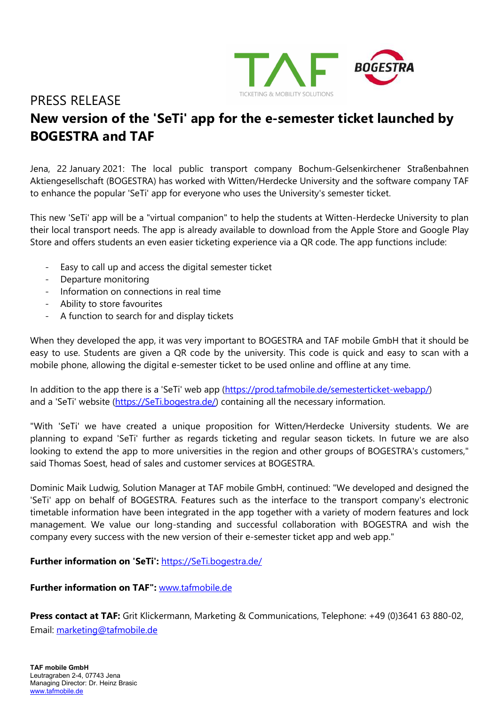

#### PRESS RELEASE

# New version of the 'SeTi' app for the e-semester ticket launched by BOGESTRA and TAF

Jena, 22 January 2021: The local public transport company Bochum-Gelsenkirchener Straßenbahnen Aktiengesellschaft (BOGESTRA) has worked with Witten/Herdecke University and the software company TAF to enhance the popular 'SeTi' app for everyone who uses the University's semester ticket.

This new 'SeTi' app will be a "virtual companion" to help the students at Witten-Herdecke University to plan their local transport needs. The app is already available to download from the Apple Store and Google Play Store and offers students an even easier ticketing experience via a QR code. The app functions include:

- Easy to call up and access the digital semester ticket
- Departure monitoring
- Information on connections in real time
- Ability to store favourites
- A function to search for and display tickets

When they developed the app, it was very important to BOGESTRA and TAF mobile GmbH that it should be easy to use. Students are given a QR code by the university. This code is quick and easy to scan with a mobile phone, allowing the digital e-semester ticket to be used online and offline at any time.

In addition to the app there is a 'SeTi' web app (https://prod.tafmobile.de/semesterticket-webapp/) and a 'SeTi' website (https://SeTi.bogestra.de/) containing all the necessary information.

"With 'SeTi' we have created a unique proposition for Witten/Herdecke University students. We are planning to expand 'SeTi' further as regards ticketing and regular season tickets. In future we are also looking to extend the app to more universities in the region and other groups of BOGESTRA's customers," said Thomas Soest, head of sales and customer services at BOGESTRA.

Dominic Maik Ludwig, Solution Manager at TAF mobile GmbH, continued: "We developed and designed the 'SeTi' app on behalf of BOGESTRA. Features such as the interface to the transport company's electronic timetable information have been integrated in the app together with a variety of modern features and lock management. We value our long-standing and successful collaboration with BOGESTRA and wish the company every success with the new version of their e-semester ticket app and web app."

#### Further information on 'SeTi': https://SeTi.bogestra.de/

#### Further information on TAF": www.tafmobile.de

Press contact at TAF: Grit Klickermann, Marketing & Communications, Telephone: +49 (0)3641 63 880-02, Email: marketing@tafmobile.de